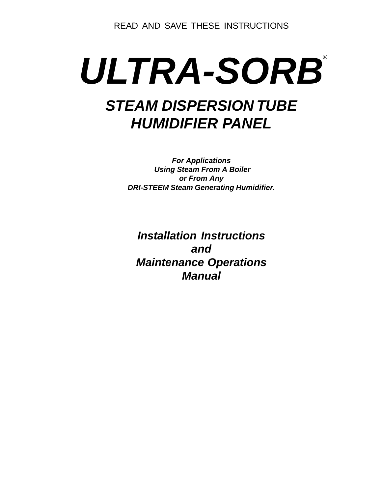READ AND SAVE THESE INSTRUCTIONS

# *ULTRA-SORB* ®*STEAM DISPERSION TUBE HUMIDIFIER PANEL*

*For Applications Using Steam From A Boiler or From Any DRI-STEEM Steam Generating Humidifier.*

*Installation Instructions and Maintenance Operations Manual*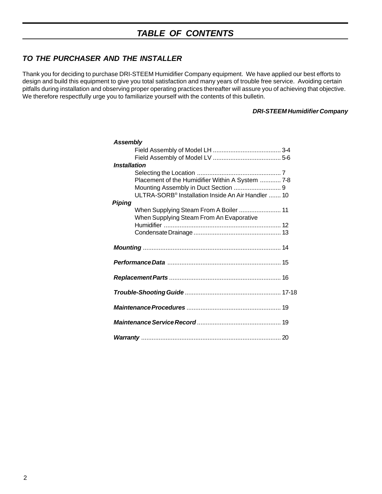### *TABLE OF CONTENTS*

### *TO THE PURCHASER AND THE INSTALLER*

Thank you for deciding to purchase DRI-STEEM Humidifier Company equipment. We have applied our best efforts to design and build this equipment to give you total satisfaction and many years of trouble free service. Avoiding certain pitfalls during installation and observing proper operating practices thereafter will assure you of achieving that objective. We therefore respectfully urge you to familiarize yourself with the contents of this bulletin.

### *DRI-STEEM Humidifier Company*

| <b>Assembly</b>                                            |
|------------------------------------------------------------|
|                                                            |
|                                                            |
| <b>Installation</b>                                        |
|                                                            |
| Placement of the Humidifier Within A System  7-8           |
|                                                            |
| ULTRA-SORB® Installation Inside An Air Handler $\ldots$ 10 |
| <b>Piping</b>                                              |
| When Supplying Steam From An Evaporative                   |
|                                                            |
|                                                            |
|                                                            |
|                                                            |
|                                                            |
|                                                            |
|                                                            |
|                                                            |
|                                                            |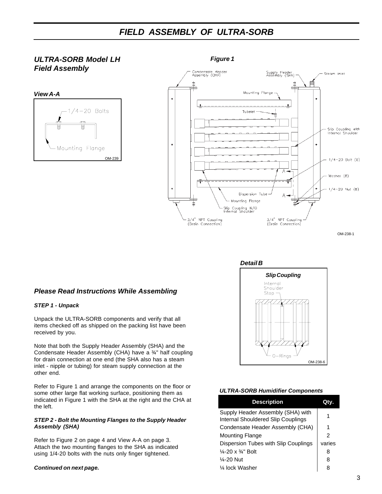#### *ULTRA-SORB Model LH Figure 1 Field Assembly* Condensate Header<br>Assembly (CHA) Supply Header<br>Assembly (SHA) Steam Inlet ╘ ᆯ Mounting Flange *View A-A*  $-1/4-20$  Bolts Tubelet Ħ Slip Coupling with<br>Internal Shoulder Mounting Flange OM-239  $1/4 - 20$  Bolt  $(8)$ Δ. Washer (8)  $\circ$  $1/4 - 20$  Nut (8) Dispersion Tube Δ Mounting Flange Slip Coupling W/O<br>Internal Shoulder 3/4" NPT Coupling 3/4" NPT Coupling

(Drain Connection)

### *Please Read Instructions While Assembling*

### *STEP 1 - Unpack*

Unpack the ULTRA-SORB components and verify that all items checked off as shipped on the packing list have been received by you.

Note that both the Supply Header Assembly (SHA) and the Condensate Header Assembly (CHA) have a ¾" half coupling for drain connection at one end (the SHA also has a steam inlet - nipple or tubing) for steam supply connection at the other end.

Refer to Figure 1 and arrange the components on the floor or some other large flat working surface, positioning them as indicated in Figure 1 with the SHA at the right and the CHA at the left.

#### *STEP 2 - Bolt the Mounting Flanges to the Supply Header Assembly (SHA)*

Refer to Figure 2 on page 4 and View A-A on page 3. Attach the two mounting flanges to the SHA as indicated using 1/4-20 bolts with the nuts only finger tightened.

#### *Continued on next page.*



(Drain Connection)

#### *ULTRA-SORB Humidifier Components*

| <b>Description</b>                                                      |        |
|-------------------------------------------------------------------------|--------|
| Supply Header Assembly (SHA) with<br>Internal Shouldered Slip Couplings | 1      |
| Condensate Header Assembly (CHA)                                        | 1      |
| <b>Mounting Flange</b>                                                  | 2      |
| Dispersion Tubes with Slip Couplings                                    | varies |
| $\frac{1}{4}$ -20 x $\frac{3}{4}$ " Bolt                                | 8      |
| $\frac{1}{4}$ -20 Nut                                                   | 8      |
| 1⁄4 lock Washer                                                         | 8      |

OM-238-1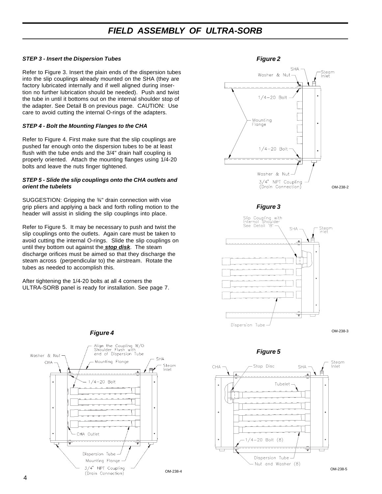#### *STEP 3 - Insert the Dispersion Tubes*

Refer to Figure 3. Insert the plain ends of the dispersion tubes into the slip couplings already mounted on the SHA (they are factory lubricated internally and if well aligned during insertion no further lubrication should be needed). Push and twist the tube in until it bottoms out on the internal shoulder stop of the adapter. See Detail B on previous page. CAUTION: Use care to avoid cutting the internal O-rings of the adapters.

#### *STEP 4 - Bolt the Mounting Flanges to the CHA*

Refer to Figure 4. First make sure that the slip couplings are pushed far enough onto the dispersion tubes to be at least flush with the tube ends and the 3/4" drain half coupling is properly oriented. Attach the mounting flanges using 1/4-20 bolts and leave the nuts finger tightened.

#### *STEP 5 - Slide the slip couplings onto the CHA outlets and orient the tubelets*

SUGGESTION: Gripping the ¾" drain connection with vise grip pliers and applying a back and forth rolling motion to the header will assist in sliding the slip couplings into place.

Refer to Figure 5. It may be necessary to push and twist the slip couplings onto the outlets. Again care must be taken to avoid cutting the internal O-rings. Slide the slip couplings on until they bottom out against the *stop disk*. The steam discharge orifices must be aimed so that they discharge the steam across (perpendicular to) the airstream. Rotate the tubes as needed to accomplish this.

After tightening the 1/4-20 bolts at all 4 corners the ULTRA-SORB panel is ready for installation. See page 7.





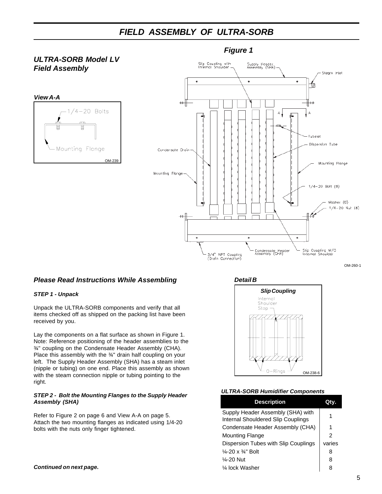### *ULTRA-SORB Model LV Field Assembly*





*Please Read Instructions While Assembling*

### *STEP 1 - Unpack*

Unpack the ULTRA-SORB components and verify that all items checked off as shipped on the packing list have been received by you.

Lay the components on a flat surface as shown in Figure 1. Note: Reference positioning of the header assemblies to the ¾" coupling on the Condensate Header Assembly (CHA). Place this assembly with the ¾" drain half coupling on your left. The Supply Header Assembly (SHA) has a steam inlet (nipple or tubing) on one end. Place this assembly as shown with the steam connection nipple or tubing pointing to the right.

### *STEP 2 - Bolt the Mounting Flanges to the Supply Header Assembly (SHA)*

Refer to Figure 2 on page 6 and View A-A on page 5. Attach the two mounting flanges as indicated using 1/4-20 bolts with the nuts only finger tightened.



#### *ULTRA-SORB Humidifier Components*

| <b>Description</b>                                                      |        |
|-------------------------------------------------------------------------|--------|
| Supply Header Assembly (SHA) with<br>Internal Shouldered Slip Couplings | 1      |
| Condensate Header Assembly (CHA)                                        | 1      |
| <b>Mounting Flange</b>                                                  | 2      |
| Dispersion Tubes with Slip Couplings                                    | varies |
| $\frac{1}{4}$ -20 x $\frac{3}{4}$ " Bolt                                | 8      |
| $\frac{1}{4}$ -20 Nut                                                   | 8      |
| 1⁄4 lock Washer                                                         | 8      |

*Continued on next page.*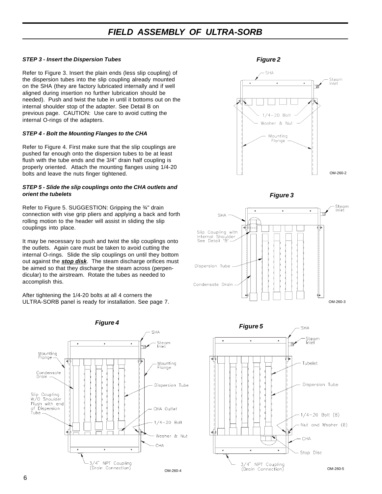#### *STEP 3 - Insert the Dispersion Tubes*

Refer to Figure 3. Insert the plain ends (less slip coupling) of the dispersion tubes into the slip coupling already mounted on the SHA (they are factory lubricated internally and if well aligned during insertion no further lubrication should be needed). Push and twist the tube in until it bottoms out on the internal shoulder stop of the adapter. See Detail B on previous page. CAUTION: Use care to avoid cutting the internal O-rings of the adapters.

#### *STEP 4 - Bolt the Mounting Flanges to the CHA*

Refer to Figure 4. First make sure that the slip couplings are pushed far enough onto the dispersion tubes to be at least flush with the tube ends and the 3/4" drain half coupling is properly oriented. Attach the mounting flanges using 1/4-20 bolts and leave the nuts finger tightened.

#### *STEP 5 - Slide the slip couplings onto the CHA outlets and orient the tubelets*

Refer to Figure 5. SUGGESTION: Gripping the ¾" drain connection with vise grip pliers and applying a back and forth rolling motion to the header will assist in sliding the slip couplings into place.

It may be necessary to push and twist the slip couplings onto the outlets. Again care must be taken to avoid cutting the internal O-rings. Slide the slip couplings on until they bottom out against the *stop disk*. The steam discharge orifices must be aimed so that they discharge the steam across (perpendicular) to the airstream. Rotate the tubes as needed to accomplish this.

After tightening the 1/4-20 bolts at all 4 corners the ULTRA-SORB panel is ready for installation. See page 7.



### *Figure 4*









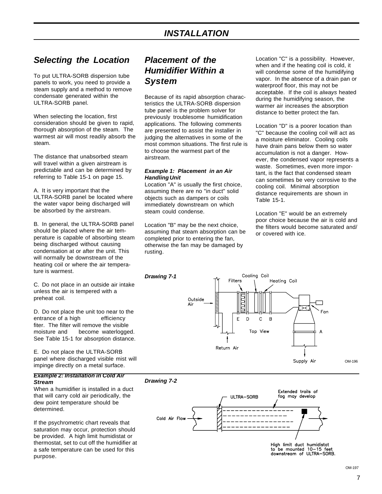### *Selecting the Location*

To put ULTRA-SORB dispersion tube panels to work, you need to provide a steam supply and a method to remove condensate generated within the ULTRA-SORB panel.

When selecting the location, first consideration should be given to rapid, thorough absorption of the steam. The warmest air will most readily absorb the steam.

The distance that unabsorbed steam will travel within a given airstream is predictable and can be determined by referring to Table 15-1 on page 15.

A. It is very important that the ULTRA-SORB panel be located where the water vapor being discharged will be absorbed by the airstream.

B. In general, the ULTRA-SORB panel should be placed where the air temperature is capable of absorbing steam being discharged without causing condensation at or after the unit. This will normally be downstream of the heating coil or where the air temperature is warmest.

C. Do not place in an outside air intake unless the air is tempered with a preheat coil.

D. Do not place the unit too near to the entrance of a high efficiency entrance of a high fiter. The filter will remove the visible moisture and become waterlogged. See Table 15-1 for absorption distance.

E. Do not place the ULTRA-SORB panel where discharged visible mist will impinge directly on a metal surface.

### *Example 2: Installation in Cold Air Stream*

When a humidifier is installed in a duct that will carry cold air periodically, the dew point temperature should be determined.

If the psychrometric chart reveals that saturation may occur, protection should be provided. A high limit humidistat or thermostat, set to cut off the humidifier at a safe temperature can be used for this purpose.

### *Placement of the Humidifier Within a System*

Because of its rapid absorption characteristics the ULTRA-SORB dispersion tube panel is the problem solver for previously troublesome humidification applications. The following comments are presented to assist the installer in judging the alternatives in some of the most common situations. The first rule is to choose the warmest part of the airstream.

### *Example 1: Placement in an Air Handling Unit*

Location "A" is usually the first choice, assuming there are no "in duct" solid objects such as dampers or coils immediately downstream on which steam could condense.

Location "B" may be the next choice, assuming that steam absorption can be completed prior to entering the fan, otherwise the fan may be damaged by rusting.

*Drawing 7-2*

Location "C" is a possibility. However, when and if the heating coil is cold, it will condense some of the humidifying vapor. In the absence of a drain pan or waterproof floor, this may not be acceptable. If the coil is *always* heated during the humidifying season, the warmer air increases the absorption distance to better protect the fan.

Location "D" is a poorer location than "C" because the cooling coil will act as a moisture eliminator. Cooling coils have drain pans below them so water accumulation is not a danger. However, the condensed vapor represents a waste. Sometimes, even more important, is the fact that condensed steam can sometimes be very corrosive to the cooling coil. Minimal absorption distance requirements are shown in Table 15-1.

Location "E" would be an extremely poor choice because the air is cold and the filters would become saturated and/ or covered with ice.





to be mounted 10-15 feet<br>downstream of ULTRA-SORB.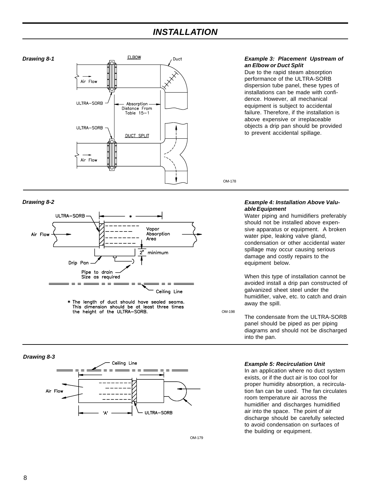### *INSTALLATION*



#### *Drawing 8-2*



\* The length of duct should have sealed seams. This dimension should be at least three times<br>the height of the ULTRA-SORB.

#### *Drawing 8-3*



#### *Example 3: Placement Upstream of an Elbow or Duct Split*

Due to the rapid steam absorption performance of the ULTRA-SORB dispersion tube panel, these types of installations can be made with confidence. However, all mechanical equipment is subject to accidental failure. Therefore, if the installation is above expensive or irreplaceable objects a drip pan should be provided to prevent accidental spillage.

OM-178

#### *Example 4: Installation Above Valuable Equipment*

Water piping and humidifiers preferably should not be installed above expensive apparatus or equipment. A broken water pipe, leaking valve gland, condensation or other accidental water spillage may occur causing serious damage and costly repairs to the equipment below.

When this type of installation cannot be avoided install a drip pan constructed of galvanized sheet steel under the humidifier, valve, etc. to catch and drain away the spill.

OM-198

The condensate from the ULTRA-SORB panel should be piped as per piping diagrams and should not be discharged into the pan.

#### *Example 5: Recirculation Unit*

In an application where no duct system exists, or if the duct air is too cool for proper humidity absorption, a recirculation fan can be used. The fan circulates room temperature air across the humidifier and discharges humidified air into the space. The point of air discharge should be carefully selected to avoid condensation on surfaces of the building or equipment.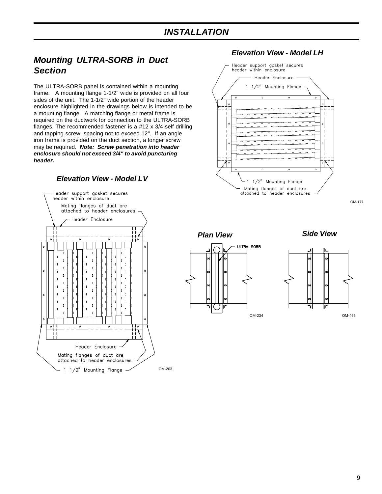### *INSTALLATION*

### *Mounting ULTRA-SORB in Duct Section*

The ULTRA-SORB panel is contained within a mounting frame. A mounting flange 1-1/2" wide is provided on all four sides of the unit. The 1-1/2" wide portion of the header enclosure highlighted in the drawings below is intended to be a mounting flange. A matching flange or metal frame is required on the ductwork for connection to the ULTRA-SORB flanges. The recommended fastener is a #12 x 3/4 self drilling and tapping screw, spacing not to exceed 12". If an angle iron frame is provided on the duct section, a longer screw may be required. *Note: Screw penetration into header enclosure should not exceed 3/4" to avoid puncturing header.*

### *Elevation View - Model LV*



### *Elevation View - Model LH*



OM-177



*Plan View Side View*

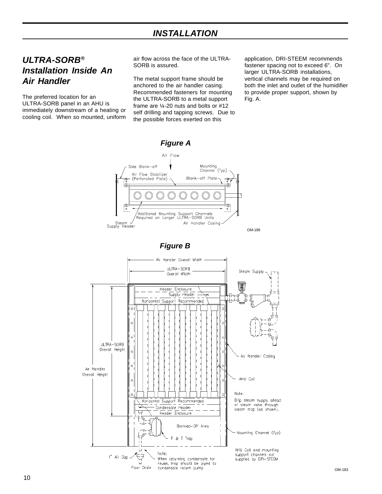### *INSTALLATION*

### *ULTRA-SORB® Installation Inside An Air Handler*

The preferred location for an ULTRA-SORB panel in an AHU is immediately downstream of a heating or cooling coil. When so mounted, uniform

air flow across the face of the ULTRA-SORB is assured.

The metal support frame should be anchored to the air handler casing. Recommended fasteners for mounting the ULTRA-SORB to a metal support frame are ¼-20 nuts and bolts or #12 self drilling and tapping screws. Due to the possible forces exerted on this

application, DRI-STEEM recommends fastener spacing not to exceed 6". On larger ULTRA-SORB installations, vertical channels may be required on both the inlet and outlet of the humidifier to provide proper support, shown by Fig. A.





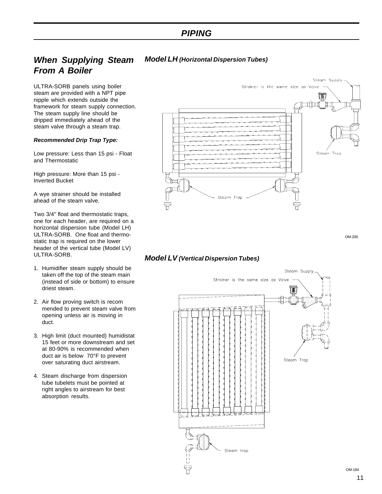### *PIPING*

# *Model LH (Horizontal Dispersion Tubes)*

ULTRA-SORB panels using boiler steam are provided with a NPT pipe nipple which extends outside the framework for steam supply connection. The steam supply line should be dripped immediately ahead of the steam valve through a steam trap.

*When Supplying Steam*

*From A Boiler*

### *Recommended Drip Trap Type:*

Low pressure: Less than 15 psi - Float and Thermostatic

High pressure: More than 15 psi - Inverted Bucket

A wye strainer should be installed ahead of the steam valve.

Two 3/4" float and thermostatic traps, one for each header, are required on a horizontal dispersion tube (Model LH) ULTRA-SORB. One float and thermostatic trap is required on the lower header of the vertical tube (Model LV) ULTRA-SORB.

- 1. Humidifier steam supply should be taken off the top of the steam main (instead of side or bottom) to ensure driest steam.
- 2. Air flow proving switch is recom mended to prevent steam valve from opening unless air is moving in duct.
- 3. High limit (duct mounted) humidistat 15 feet or more downstream and set at 80-90% is recommended when duct air is below 70°F to prevent over saturating duct airstream.
- 4. Steam discharge from dispersion tube tubelets must be pointed at right angles to airstream for best absorption results.



OM-200

### *Model LV (Vertical Dispersion Tubes)*

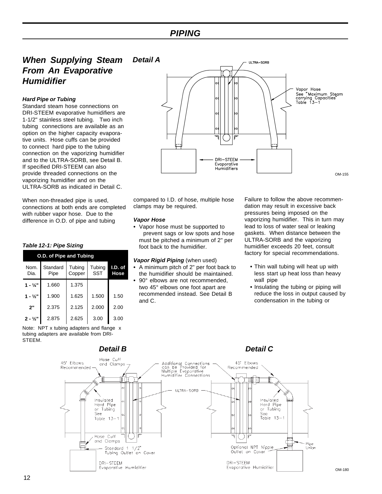### *When Supplying Steam From An Evaporative Humidifier Detail A*

### *Hard Pipe or Tubing*

Standard steam hose connections on DRI-STEEM evaporative humidifiers are 1-1/2" stainless steel tubing. Two inch tubing connections are available as an option on the higher capacity evaporative units. Hose cuffs can be provided to connect hard pipe to the tubing connection on the vaporizing humidifier and to the ULTRA-SORB, see Detail B. If specified DRI-STEEM can also provide threaded connections on the vaporizing humidifier and on the ULTRA-SORB as indicated in Detail C.

When non-threaded pipe is used, connections at both ends are completed with rubber vapor hose. Due to the difference in O.D. of pipe and tubing

*Table 12-1: Pipe Sizing*

#### **O.D. of Pipe and Tubing** Nom. Dia. **Standard** Pipe Tubing Copper Tubing **SST I.D. of Hose 1 - ¼"** 1.660 1.375 **1 - 1/2"** 1.900 1.625 1.500 1.50 **2"** 2.375 2.125 2.000 2.00 **2 - 1/2"** 2.875 2.625 3.00 3.00

Note: NPT x tubing adapters and flange x tubing adapters are available from DRI-STEEM.



compared to I.D. of hose, multiple hose clamps may be required.

### *Vapor Hose*

*•* Vapor hose must be supported to prevent sags or low spots and hose must be pitched a minimum of 2" per foot back to the humidifier.

### *Vapor Rigid Piping* (when used)

- *•* A minimum pitch of 2" per foot back to the humidifier should be maintained.
- *•* 90° elbows are not recommended, two 45° elbows one foot apart are recommended instead. See Detail B and C.

Failure to follow the above recommendation may result in excessive back pressures being imposed on the vaporizing humidifier. This in turn may lead to loss of water seal or leaking gaskets. When distance between the ULTRA-SORB and the vaporizing humidifier exceeds 20 feet, consult factory for special recommendations.

- *•* Thin wall tubing will heat up with less start up heat loss than heavy wall pipe
- *•* Insulating the tubing or piping will reduce the loss in output caused by condensation in the tubing or

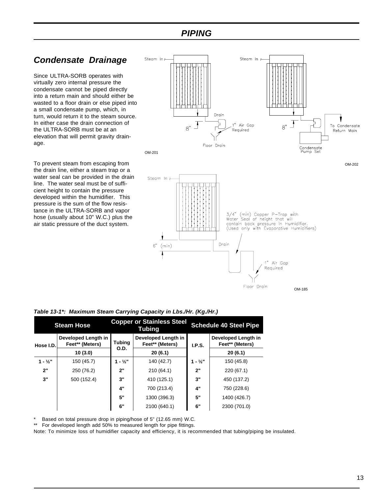### *PIPING*

### *Condensate Drainage*

Since ULTRA-SORB operates with virtually zero internal pressure the condensate cannot be piped directly into a return main and should either be wasted to a floor drain or else piped into a small condensate pump, which, in turn, would return it to the steam source. In either case the drain connection of the ULTRA-SORB must be at an elevation that will permit gravity drainage.

To prevent steam from escaping from the drain line, either a steam trap or a water seal can be provided in the drain line. The water seal must be of sufficient height to contain the pressure developed within the humidifier. This pressure is the sum of the flow resistance in the ULTRA-SORB and vapor hose (usually about 10" W.C.) plus the air static pressure of the duct system.



Steam In A 3/4" (min) Copper P-Trap with<br>Water Seal of height that will<br>contain back pressure in Humidifier.<br>(Used only with Evaporative Humidifiers) Drain  $6''$  (min) 1 Air Gap Required Floor Drain OM-185

| <b>Copper or Stainless Steel</b><br><b>Steam Hose</b><br><b>Tubing</b> |                                        |                   | <b>Schedule 40 Steel Pipe</b>          |                   |                                        |
|------------------------------------------------------------------------|----------------------------------------|-------------------|----------------------------------------|-------------------|----------------------------------------|
| Hose I.D.                                                              | Developed Length in<br>Feet** (Meters) | Tubing            | Developed Length in<br>Feet** (Meters) | I.P.S.            | Developed Length in<br>Feet** (Meters) |
|                                                                        | 10(3.0)                                | O.D.              | 20(6.1)                                |                   | 20(6.1)                                |
| $1 - \frac{1}{2}$                                                      | 150 (45.7)                             | $1 - \frac{1}{2}$ | 140 (42.7)                             | $1 - \frac{1}{2}$ | 150 (45.8)                             |
| 2"                                                                     | 250 (76.2)                             | 2"                | 210 (64.1)                             | 2"                | 220 (67.1)                             |
| 3"                                                                     | 500 (152.4)                            | 3"                | 410 (125.1)                            | 3"                | 450 (137.2)                            |
|                                                                        |                                        | 4"                | 700 (213.4)                            | 4"                | 750 (228.6)                            |
|                                                                        |                                        | 5"                | 1300 (396.3)                           | 5"                | 1400 (426.7)                           |

### *Table 13-1\*: Maximum Steam Carrying Capacity in Lbs./Hr. (Kg./Hr.)*

\* Based on total pressure drop in piping/hose of 5" (12.65 mm) W.C.

For developed length add 50% to measured length for pipe fittings.

Note: To minimize loss of humidifier capacity and efficiency, it is recommended that tubing/piping be insulated.

**6"** 2100 (640.1) **6"** 2300 (701.0)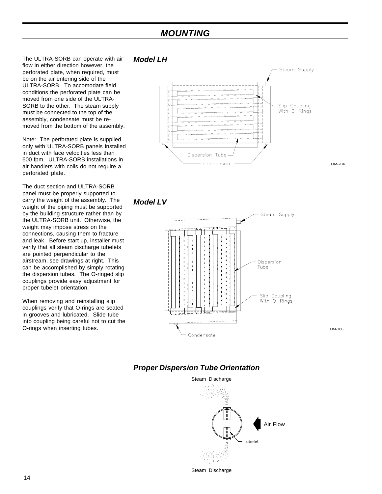### *MOUNTING*

The ULTRA-SORB can operate with air flow in either direction however, the perforated plate, when required, must be on the air entering side of the ULTRA-SORB. To accomodate field conditions the perforated plate can be moved from one side of the ULTRA-SORB to the other. The steam supply must be connected to the top of the assembly, condensate must be removed from the bottom of the assembly.

Note: The perforated plate is supplied only with ULTRA-SORB panels installed in duct with face velocities less than 600 fpm. ULTRA-SORB installations in air handlers with coils do not require a perforated plate.

The duct section and ULTRA-SORB panel must be properly supported to carry the weight of the assembly. The weight of the piping must be supported by the building structure rather than by the ULTRA-SORB unit. Otherwise, the weight may impose stress on the connections, causing them to fracture and leak. Before start up, installer must verify that all steam discharge tubelets are pointed perpendicular to the airstream, see drawings at right. This can be accomplished by simply rotating the dispersion tubes. The O-ringed slip couplings provide easy adjustment for proper tubelet orientation.

When removing and reinstalling slip couplings verify that O-rings are seated in grooves and lubricated. Slide tube into coupling being careful not to cut the O-rings when inserting tubes.

### *Model LH*







OM-186

### *Proper Dispersion Tube Orientation*



Steam Discharge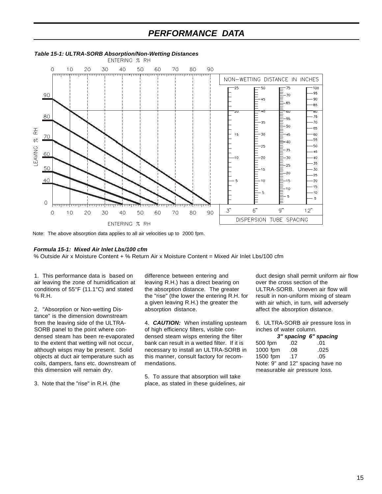### *PERFORMANCE DATA*



#### *Table 15-1: ULTRA-SORB Absorption/Non-Wetting Distances*

Note: The above absorption data applies to all air velocities up to 2000 fpm.

#### *Formula 15-1: Mixed Air Inlet Lbs/100 cfm*

% Outside Air x Moisture Content + % Return Air x Moisture Content = Mixed Air Inlet Lbs/100 cfm

1. This performance data is based on air leaving the zone of humidification at conditions of 55°F (11.1°C) and stated % R.H.

2. "Absorption or Non-wetting Distance" is the dimension downstream from the leaving side of the ULTRA-SORB panel to the point where condensed steam has been re-evaporated to the extent that wetting will not occur, although wisps may be present. Solid objects at duct air temperature such as coils, dampers, fans etc. downstream of this dimension will remain dry.

3. Note that the "rise" in R.H. (the

difference between entering and leaving R.H.) has a direct bearing on the absorption distance. The greater the "rise" (the lower the entering R.H. for a given leaving R.H.) the greater the absorption distance.

4. *CAUTION:* When installing upsteam of high efficiency filters, visible condensed steam wisps entering the filter bank can result in a wetted filter. If it is necessary to install an ULTRA-SORB in this manner, consult factory for recommendations.

5. To assure that absorption will take place, as stated in these guidelines, air

duct design shall permit uniform air flow over the cross section of the ULTRA-SORB. Uneven air flow will result in non-uniform mixing of steam with air which, in turn, will adversely affect the absorption distance.

6. ULTRA-SORB air pressure loss in inches of water column.

|                               |     | 3" spacing 6" spacing            |  |
|-------------------------------|-----|----------------------------------|--|
| 500 fpm                       | .02 | .01                              |  |
| 1000 fpm                      | .08 | .025                             |  |
| 1500 fpm                      | .17 | .05                              |  |
|                               |     | Note: 9" and 12" spacing have no |  |
| measurable air pressure loss. |     |                                  |  |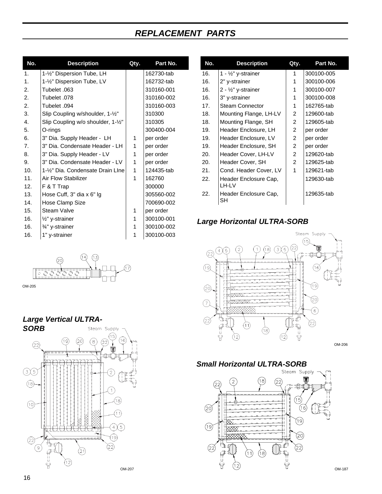### *REPLACEMENT PARTS*

| No.              | <b>Description</b>                             | Qty. | Part No.   |
|------------------|------------------------------------------------|------|------------|
| 1.               | 1-1/2" Dispersion Tube, LH                     |      | 162730-tab |
| 1.               | 1-1/ <sub>2</sub> " Dispersion Tube, LV        |      | 162732-tab |
| 2.               | Tubelet .063                                   |      | 310160-001 |
| $\mathfrak{D}$   | Tubelet .078                                   |      | 310160-002 |
| 2.               | Tubelet .094                                   |      | 310160-003 |
| 3.               | Slip Coupling w/shoulder, 1-1/2"               |      | 310300     |
| $\overline{4}$ . | Slip Coupling w/o shoulder, 1-1/2"             |      | 310305     |
| 5.               | O-rings                                        |      | 300400-004 |
| 6.               | 3" Dia. Supply Header - LH                     | 1    | per order  |
| 7.               | 3" Dia. Condensate Header - LH                 | 1    | per order  |
| 8.               | 3" Dia. Supply Header - LV                     | 1    | per order  |
| 9.               | 3" Dia. Condensate Header - LV                 | 1    | per order  |
| 10.              | 1-1/ <sub>2</sub> " Dia. Condensate Drain LIne | 1    | 124435-tab |
| 11.              | Air Flow Stabilizer                            | 1    | 162760     |
| 12.              | F & T Trap                                     |      | 300000     |
| 13.              | Hose Cuff, 3" dia x 6" lg                      |      | 305560-002 |
| 14.              | Hose Clamp Size                                |      | 700690-002 |
| 15.              | Steam Valve                                    | 1    | per order  |
| 16.              | $\frac{1}{2}$ " y-strainer                     | 1    | 300100-001 |
| 16.              | 3⁄4" y-strainer                                | 1    | 300100-002 |
| 16.              | 1" y-strainer                                  | 1    | 300100-003 |

| No.             | <b>Description</b>              | Qty.           | Part No.   |
|-----------------|---------------------------------|----------------|------------|
| 16.             | 1 - $\frac{1}{2}$ " y-strainer  | 1              | 300100-005 |
| 16.             | 2" y-strainer                   | 1              | 300100-006 |
| 16.             | $2 - \frac{1}{2}$ " y-strainer  | 1              | 300100-007 |
| 16.             | 3" y-strainer                   | 1              | 300100-008 |
| 17 <sub>1</sub> | Steam Connector                 | 1              | 162765-tab |
| 18.             | Mounting Flange, LH-LV          | 2              | 129600-tab |
| 18.             | Mounting Flange, SH             | 2              | 129605-tab |
| 19.             | Header Enclosure, LH            | 2              | per order  |
| 19.             | Header Enclosure, LV            | 2              | per order  |
| 19.             | Header Enclosure, SH            | 2              | per order  |
| 20.             | Header Cover, LH-LV             | 2              | 129620-tab |
| 20.             | Header Cover, SH                | $\overline{2}$ | 129625-tab |
| 21.             | Cond. Header Cover, LV          | 1              | 129621-tab |
| 22.             | Header Enclosure Cap,<br>I H-LV |                | 129630-tab |
| 22.             | Header Enclosure Cap,<br>SН     |                | 129635-tab |

### *Large Horizontal ULTRA-SORB*



OM-206

# **Small Horizontal ULTRA-SORB**<br>Steam Supply



*Large Vertical ULTRA-SORB* Steam Supply 15 16 ΪR.  $(22)$  $(3)(5)$  $(8)$  $\circledcirc$ 5 4 19  $(22)$ 22  $\mathcal{S}$ T OM-207

 $(14)$  $\sqrt{13}$ 

17)

@

ن في حي

16

OM-205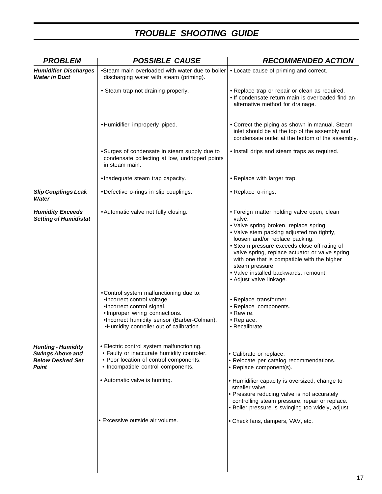## *TROUBLE SHOOTING GUIDE*

| <b>PROBLEM</b>                                                                            | <b>POSSIBLE CAUSE</b>                                                                                                                                                                                                                       | <b>RECOMMENDED ACTION</b>                                                                                                                                                                                                                                                                                                                                                                                              |
|-------------------------------------------------------------------------------------------|---------------------------------------------------------------------------------------------------------------------------------------------------------------------------------------------------------------------------------------------|------------------------------------------------------------------------------------------------------------------------------------------------------------------------------------------------------------------------------------------------------------------------------------------------------------------------------------------------------------------------------------------------------------------------|
| <b>Humidifier Discharges</b><br><b>Water in Duct</b>                                      | •Steam main overloaded with water due to boiler • Locate cause of priming and correct.<br>discharging water with steam (priming).                                                                                                           |                                                                                                                                                                                                                                                                                                                                                                                                                        |
|                                                                                           | • Steam trap not draining properly.                                                                                                                                                                                                         | • Replace trap or repair or clean as required.<br>. If condensate return main is overloaded find an<br>alternative method for drainage.                                                                                                                                                                                                                                                                                |
|                                                                                           | •Humidifier improperly piped.                                                                                                                                                                                                               | • Correct the piping as shown in manual. Steam<br>inlet should be at the top of the assembly and<br>condensate outlet at the bottom of the assembly.                                                                                                                                                                                                                                                                   |
|                                                                                           | • Surges of condensate in steam supply due to<br>condensate collecting at low, undripped points<br>in steam main.                                                                                                                           | . Install drips and steam traps as required.                                                                                                                                                                                                                                                                                                                                                                           |
|                                                                                           | •Inadequate steam trap capacity.                                                                                                                                                                                                            | • Replace with larger trap.                                                                                                                                                                                                                                                                                                                                                                                            |
| <b>Slip Couplings Leak</b><br>Water                                                       | •Defective o-rings in slip couplings.                                                                                                                                                                                                       | • Replace o-rings.                                                                                                                                                                                                                                                                                                                                                                                                     |
| <b>Humidity Exceeds</b><br><b>Setting of Humidistat</b>                                   | • Automatic valve not fully closing.                                                                                                                                                                                                        | • Foreign matter holding valve open, clean<br>valve.<br>· Valve spring broken, replace spring.<br>. Valve stem packing adjusted too tightly,<br>loosen and/or replace packing.<br>• Steam pressure exceeds close off rating of<br>valve spring, replace actuator or valve spring<br>with one that is compatible with the higher<br>steam pressure.<br>· Valve installed backwards, remount.<br>• Adjust valve linkage. |
|                                                                                           | .Control system malfunctioning due to:<br>•Incorrect control voltage.<br>•Incorrect control signal.<br>· Improper wiring connections.<br>.Incorrect humidity sensor (Barber-Colman).<br>.Humidity controller out of calibration.            | • Replace transformer.<br>· Replace components.<br>• Rewire.<br>• Replace.<br>• Recalibrate.                                                                                                                                                                                                                                                                                                                           |
| <b>Hunting - Humidity</b><br><b>Swings Above and</b><br><b>Below Desired Set</b><br>Point | • Electric control system malfunctioning.<br>· Faulty or inaccurate humidity controler.<br>• Poor location of control components.<br>· Incompatible control components.<br>• Automatic valve is hunting.<br>• Excessive outside air volume. | • Calibrate or replace.<br>• Relocate per catalog recommendations.<br>• Replace component(s).<br>• Humidifier capacity is oversized, change to<br>smaller valve.<br>• Pressure reducing valve is not accurately<br>controlling steam pressure, repair or replace.<br>· Boiler pressure is swinging too widely, adjust.<br>• Check fans, dampers, VAV, etc.                                                             |
|                                                                                           |                                                                                                                                                                                                                                             |                                                                                                                                                                                                                                                                                                                                                                                                                        |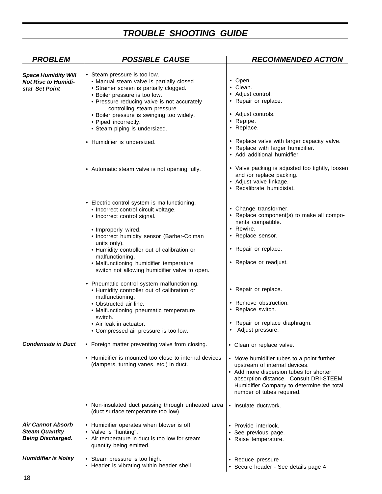### *TROUBLE SHOOTING GUIDE*

| <b>PROBLEM</b>                                                             | <b>POSSIBLE CAUSE</b>                                                                                                                                                                                                                                                                                                                                                                                                                                                                                                                                                                                                                     | <b>RECOMMENDED ACTION</b>                                                                                                                                                                                                                                                                                 |  |
|----------------------------------------------------------------------------|-------------------------------------------------------------------------------------------------------------------------------------------------------------------------------------------------------------------------------------------------------------------------------------------------------------------------------------------------------------------------------------------------------------------------------------------------------------------------------------------------------------------------------------------------------------------------------------------------------------------------------------------|-----------------------------------------------------------------------------------------------------------------------------------------------------------------------------------------------------------------------------------------------------------------------------------------------------------|--|
| <b>Space Humidity Will</b><br><b>Not Rise to Humidi-</b><br>stat Set Point | • Steam pressure is too low.<br>• Manual steam valve is partially closed.<br>• Strainer screen is partially clogged.<br>• Boiler pressure is too low.<br>• Pressure reducing valve is not accurately<br>controlling steam pressure.<br>• Boiler pressure is swinging too widely.<br>• Piped incorrectly.<br>• Steam piping is undersized.                                                                                                                                                                                                                                                                                                 | • Open.<br>• Clean.<br>• Adjust control.<br>• Repair or replace.<br>• Adjust controls.<br>• Repipe.<br>• Replace.                                                                                                                                                                                         |  |
|                                                                            | • Humidifier is undersized.                                                                                                                                                                                                                                                                                                                                                                                                                                                                                                                                                                                                               | • Replace valve with larger capacity valve.<br>• Replace with larger humidifier.<br>• Add additional humidfier.                                                                                                                                                                                           |  |
|                                                                            | • Automatic steam valve is not opening fully.                                                                                                                                                                                                                                                                                                                                                                                                                                                                                                                                                                                             | • Valve packing is adjusted too tightly, loosen<br>and /or replace packing.<br>• Adjust valve linkage.<br>• Recalibrate humidistat.                                                                                                                                                                       |  |
|                                                                            | • Electric control system is malfunctioning.<br>• Incorrect control circuit voltage.<br>• Incorrect control signal.<br>• Improperly wired.<br>• Incorrect humidity sensor (Barber-Colman<br>units only).<br>• Humidity controller out of calibration or<br>malfunctioning.<br>• Malfunctioning humidifier temperature<br>switch not allowing humidifier valve to open.<br>• Pneumatic control system malfunctioning.<br>• Humidity controller out of calibration or<br>malfunctioning.<br>• Obstructed air line.<br>• Malfunctioning pneumatic temperature<br>switch.<br>• Air leak in actuator.<br>• Compressed air pressure is too low. | • Change transformer.<br>• Replace component(s) to make all compo-<br>nents compatible.<br>• Rewire.<br>• Replace sensor.<br>• Repair or replace.<br>• Replace or readjust.<br>• Repair or replace.<br>• Remove obstruction.<br>• Replace switch.<br>• Repair or replace diaphragm.<br>• Adjust pressure. |  |
| <b>Condensate in Duct</b>                                                  | • Foreign matter preventing valve from closing.<br>• Humidifier is mounted too close to internal devices<br>(dampers, turning vanes, etc.) in duct.                                                                                                                                                                                                                                                                                                                                                                                                                                                                                       | • Clean or replace valve.<br>• Move humidifier tubes to a point further<br>upstream of internal devices.<br>• Add more dispersion tubes for shorter<br>absorption distance. Consult DRI-STEEM<br>Humidifier Company to determine the total<br>number of tubes required.                                   |  |
|                                                                            | • Non-insulated duct passing through unheated area<br>(duct surface temperature too low).                                                                                                                                                                                                                                                                                                                                                                                                                                                                                                                                                 | • Insulate ductwork.                                                                                                                                                                                                                                                                                      |  |
| Air Cannot Absorb<br><b>Steam Quantity</b><br><b>Being Discharged.</b>     | • Humidifier operates when blower is off.<br>• Valve is "hunting".<br>• Air temperature in duct is too low for steam<br>quantity being emitted.                                                                                                                                                                                                                                                                                                                                                                                                                                                                                           | • Provide interlock.<br>• See previous page.<br>· Raise temperature.                                                                                                                                                                                                                                      |  |
| <b>Humidifier is Noisy</b>                                                 | • Steam pressure is too high.<br>• Header is vibrating within header shell                                                                                                                                                                                                                                                                                                                                                                                                                                                                                                                                                                | • Reduce pressure<br>• Secure header - See details page 4                                                                                                                                                                                                                                                 |  |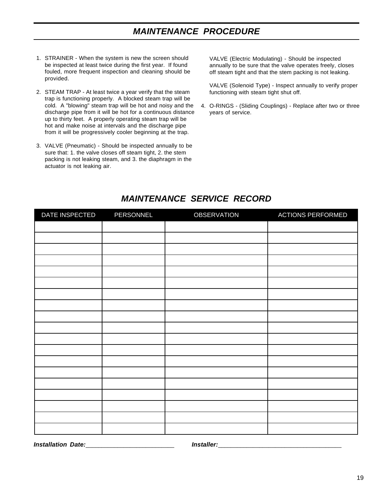### *MAINTENANCE PROCEDURE*

- 1. STRAINER When the system is new the screen should be inspected at least twice during the first year. If found fouled, more frequent inspection and cleaning should be provided.
- 2. STEAM TRAP At least twice a year verify that the steam trap is functioning properly. A blocked steam trap will be cold. A "blowing" steam trap will be hot and noisy and the discharge pipe from it will be hot for a continuous distance up to thirty feet. A properly operating steam trap will be hot and make noise at intervals and the discharge pipe from it will be progressively cooler beginning at the trap.
- 3. VALVE (Pneumatic) Should be inspected annually to be sure that: 1. the valve closes off steam tight, 2. the stem packing is not leaking steam, and 3. the diaphragm in the actuator is not leaking air.

VALVE (Electric Modulating) - Should be inspected annually to be sure that the valve operates freely, closes off steam tight and that the stem packing is not leaking.

VALVE (Solenoid Type) - Inspect annually to verify proper functioning with steam tight shut off.

4. O-RINGS - (Sliding Couplings) - Replace after two or three years of service.

| DATE INSPECTED | PERSONNEL | <b>OBSERVATION</b> | ACTIONS PERFORMED |
|----------------|-----------|--------------------|-------------------|
|                |           |                    |                   |
|                |           |                    |                   |
|                |           |                    |                   |
|                |           |                    |                   |
|                |           |                    |                   |
|                |           |                    |                   |
|                |           |                    |                   |
|                |           |                    |                   |
|                |           |                    |                   |
|                |           |                    |                   |
|                |           |                    |                   |
|                |           |                    |                   |
|                |           |                    |                   |
|                |           |                    |                   |
|                |           |                    |                   |
|                |           |                    |                   |
|                |           |                    |                   |
|                |           |                    |                   |
|                |           |                    |                   |

### *MAINTENANCE SERVICE RECORD*

*Installation Date:*\_\_\_\_\_\_\_\_\_\_\_\_\_\_\_\_\_\_\_\_\_\_\_\_\_\_\_\_ *Installer:*\_\_\_\_\_\_\_\_\_\_\_\_\_\_\_\_\_\_\_\_\_\_\_\_\_\_\_\_\_\_\_\_\_\_\_\_\_\_\_